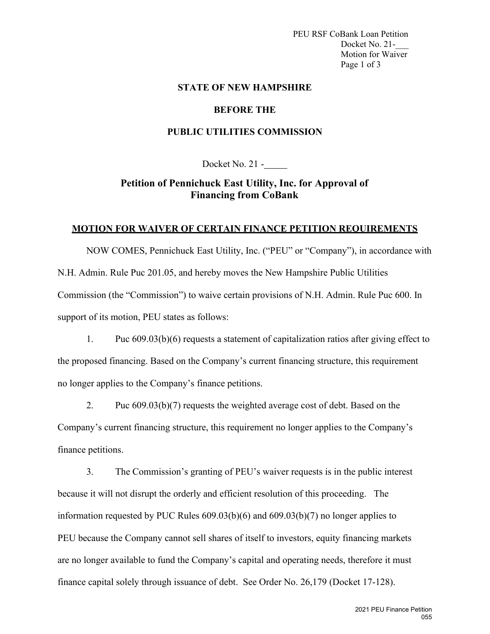PEU RSF CoBank Loan Petition Docket No. 21-Motion for Waiver Page 1 of 3

#### **STATE OF NEW HAMPSHIRE**

#### **BEFORE THE**

### **PUBLIC UTILITIES COMMISSION**

Docket No. 21 -

## **Petition of Pennichuck East Utility, Inc. for Approval of Financing from CoBank**

## **MOTION FOR WAIVER OF CERTAIN FINANCE PETITION REQUIREMENTS**

NOW COMES, Pennichuck East Utility, Inc. ("PEU" or "Company"), in accordance with N.H. Admin. Rule Puc 201.05, and hereby moves the New Hampshire Public Utilities Commission (the "Commission") to waive certain provisions of N.H. Admin. Rule Puc 600. In support of its motion, PEU states as follows:

1. Puc 609.03(b)(6) requests a statement of capitalization ratios after giving effect to the proposed financing. Based on the Company's current financing structure, this requirement no longer applies to the Company's finance petitions.

2. Puc 609.03(b)(7) requests the weighted average cost of debt. Based on the Company's current financing structure, this requirement no longer applies to the Company's finance petitions.

3. The Commission's granting of PEU's waiver requests is in the public interest because it will not disrupt the orderly and efficient resolution of this proceeding. The information requested by PUC Rules 609.03(b)(6) and 609.03(b)(7) no longer applies to PEU because the Company cannot sell shares of itself to investors, equity financing markets are no longer available to fund the Company's capital and operating needs, therefore it must finance capital solely through issuance of debt. See Order No. 26,179 (Docket 17-128).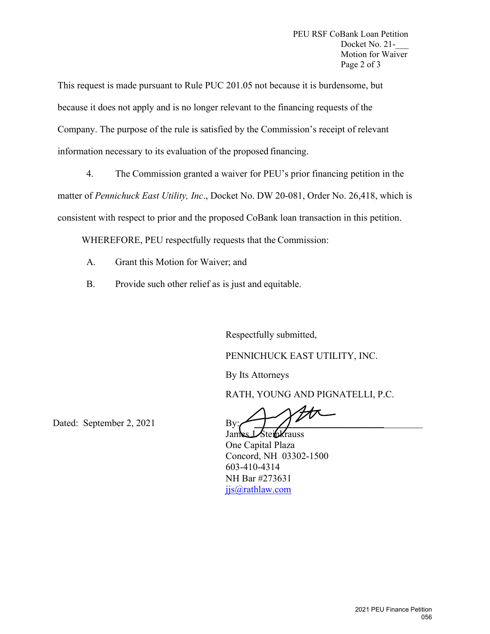This request is made pursuant to Rule PUC 201.05 not because it is burdensome, but because it does not apply and is no longer relevant to the financing requests of the Company. The purpose of the rule is satisfied by the Commission's receipt of relevant information necessary to its evaluation of the proposed financing.

4. The Commission granted a waiver for PEU's prior financing petition in the matter of *Pennichuck East Utility, Inc*., Docket No. DW 20-081, Order No. 26,418, which is consistent with respect to prior and the proposed CoBank loan transaction in this petition.

WHEREFORE, PEU respectfully requests that the Commission:

- A. Grant this Motion for Waiver; and
- B. Provide such other relief as is just and equitable.

Respectfully submitted,

PENNICHUCK EAST UTILITY, INC.

By Its Attorneys

RATH, YOUNG AND PIGNATELLI, P.C.

Dated: September 2, 2021 By:

James LSteinkrauss One Capital Plaza Concord, NH 03302-1500 603-410-4314 NH Bar #273631 jjs@rathlaw.com spectfully submitted,<br>
NNICHUCK EAST UTILITY, INC.<br>
Its Attorneys<br>
TH, YOUNG AND PIGNATELLI, P.<br>
Nes Lote Capital Plaza<br>
Reserved, NH 03302-1500<br>
16-410-4314